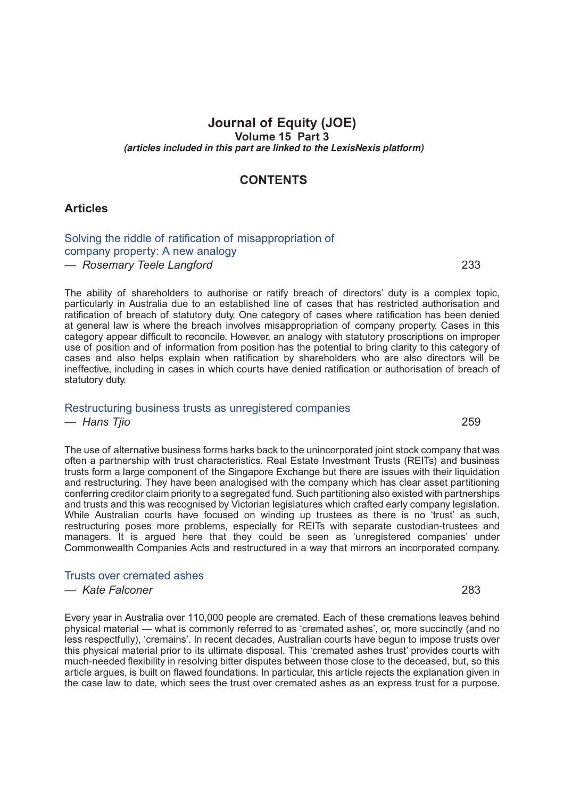# **Journal of Equity (JOE) Volume 15 Part 3** *(articles included in this part are linked to the LexisNexis platform)*

# **CONTENTS**

### **Articles**

### [Solving the riddle of ratification of misappropriation of](http://advance.lexis.com/api/document?idtype=DOC-ID&id=06W3-15JOE233) [company property: A new analogy](http://advance.lexis.com/api/document?idtype=DOC-ID&id=06W3-15JOE233) *— Rosemary Teele Langford* 233

The ability of shareholders to authorise or ratify breach of directors' duty is a complex topic, particularly in Australia due to an established line of cases that has restricted authorisation and ratification of breach of statutory duty. One category of cases where ratification has been denied at general law is where the breach involves misappropriation of company property. Cases in this category appear difficult to reconcile. However, an analogy with statutory proscriptions on improper use of position and of information from position has the potential to bring clarity to this category of cases and also helps explain when ratification by shareholders who are also directors will be ineffective, including in cases in which courts have denied ratification or authorisation of breach of statutory duty.

### [Restructuring business trusts as unregistered companies](http://advance.lexis.com/api/document?idtype=DOC-ID&id=06W3-15JOE259)

#### *— Hans Tjio* 259

The use of alternative business forms harks back to the unincorporated joint stock company that was often a partnership with trust characteristics. Real Estate Investment Trusts (REITs) and business trusts form a large component of the Singapore Exchange but there are issues with their liquidation and restructuring. They have been analogised with the company which has clear asset partitioning conferring creditor claim priority to a segregated fund. Such partitioning also existed with partnerships and trusts and this was recognised by Victorian legislatures which crafted early company legislation. While Australian courts have focused on winding up trustees as there is no 'trust' as such, restructuring poses more problems, especially for REITs with separate custodian-trustees and managers. It is argued here that they could be seen as 'unregistered companies' under Commonwealth Companies Acts and restructured in a way that mirrors an incorporated company.

### [Trusts over cremated ashes](http://advance.lexis.com/api/document?idtype=DOC-ID&id=06W3-15JOE283)

#### *— Kate Falconer* 283

Every year in Australia over 110,000 people are cremated. Each of these cremations leaves behind physical material — what is commonly referred to as 'cremated ashes', or, more succinctly (and no less respectfully), 'cremains'. In recent decades, Australian courts have begun to impose trusts over this physical material prior to its ultimate disposal. This 'cremated ashes trust' provides courts with much-needed flexibility in resolving bitter disputes between those close to the deceased, but, so this article argues, is built on flawed foundations. In particular, this article rejects the explanation given in the case law to date, which sees the trust over cremated ashes as an express trust for a purpose.